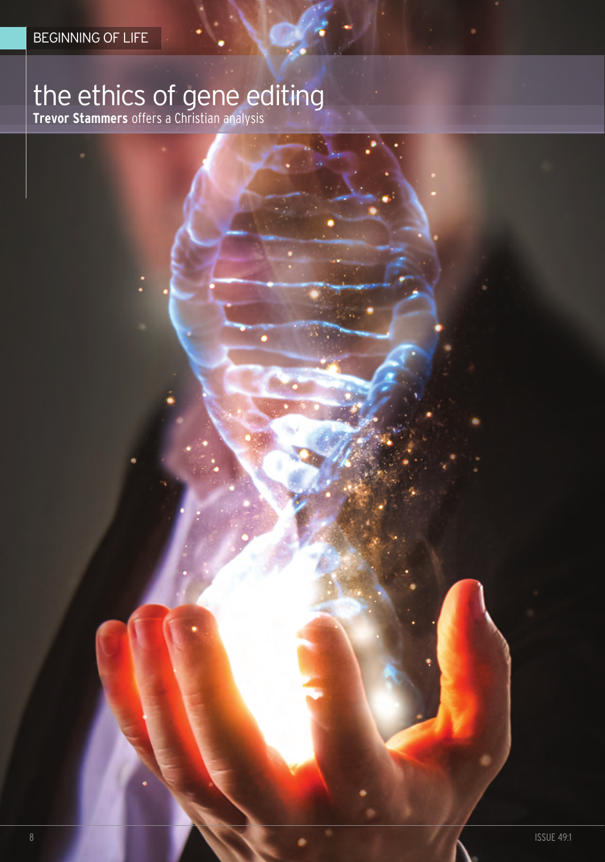# the ethics of gene editing

**Trevor Stammers** offers a christian analysis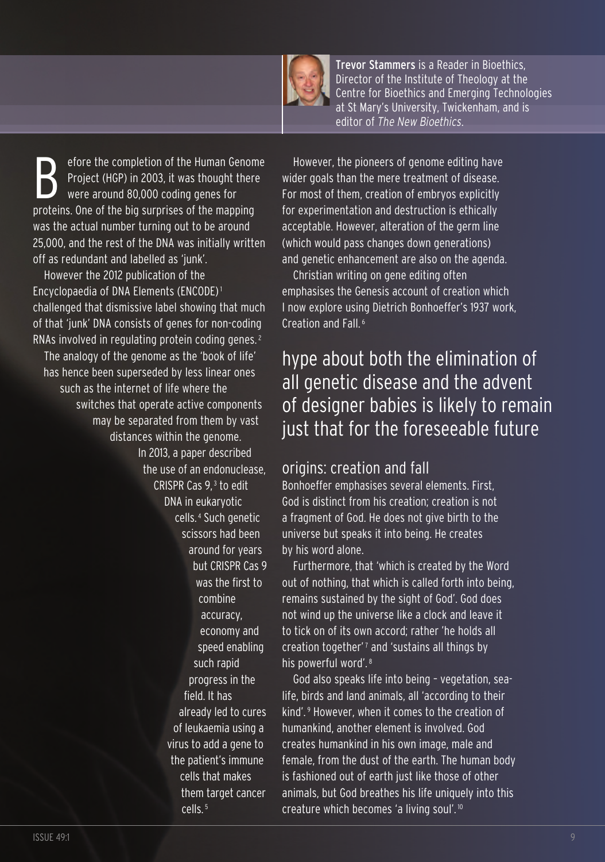

Trevor Stammers is a Reader in Bioethics, Director of the Institute of Theology at the Centre for Bioethics and Emerging Technologies at St Mary's University, Twickenham, and is editor of *The New Bioethics*.

efore the completion of the Human Genome Project (HGP) in 2003, it was thought there were around 80,000 coding genes for proteins. One of the big surprises of the mapping was the actual number turning out to be around 25,000, and the rest of the DNA was initially written off as redundant and labelled as 'junk'.

However the 2012 publication of the Encyclopaedia of DNA Elements (ENCODE)1 challenged that dismissive label showing that much of that 'junk' DNA consists of genes for non-coding RNAs involved in regulating protein coding genes. <sup>2</sup> The analogy of the genome as the 'book of life' has hence been superseded by less linear ones such as the internet of life where the switches that operate active components may be separated from them by vast distances within the genome. In 2013, a paper described the use of an endonuclease, CRISPR Cas 9, <sup>3</sup> to edit DNA in eukaryotic cells. <sup>4</sup> Such genetic scissors had been around for years but CRISPR Cas 9 was the first to combine accuracy, economy and speed enabling such rapid progress in the field. It has already led to cures of leukaemia using a virus to add a gene to the patient's immune cells that makes them target cancer cells. <sup>5</sup>

However, the pioneers of genome editing have wider goals than the mere treatment of disease. For most of them, creation of embryos explicitly for experimentation and destruction is ethically acceptable. However, alteration of the germ line (which would pass changes down generations) and genetic enhancement are also on the agenda.

Christian writing on gene editing often emphasises the Genesis account of creation which I now explore using Dietrich Bonhoeffer's 1937 work, Creation and Fall. <sup>6</sup>

# hype about both the elimination of all genetic disease and the advent of designer babies is likely to remain just that for the foreseeable future

### origins: creation and fall

Bonhoeffer emphasises several elements. First, God is distinct from his creation; creation is not a fragment of God. He does not give birth to the universe but speaks it into being. He creates by his word alone.

Furthermore, that 'which is created by the Word out of nothing, that which is called forth into being, remains sustained by the sight of God'. God does not wind up the universe like a clock and leave it to tick on of its own accord; rather 'he holds all creation together'<sup> $7$ </sup> and 'sustains all things by his powerful word'. <sup>8</sup>

God also speaks life into being – vegetation, sealife, birds and land animals, all 'according to their kind'. <sup>9</sup> However, when it comes to the creation of humankind, another element is involved. God creates humankind in his own image, male and female, from the dust of the earth. The human body is fashioned out of earth just like those of other animals, but God breathes his life uniquely into this creature which becomes 'a living soul'. <sup>10</sup>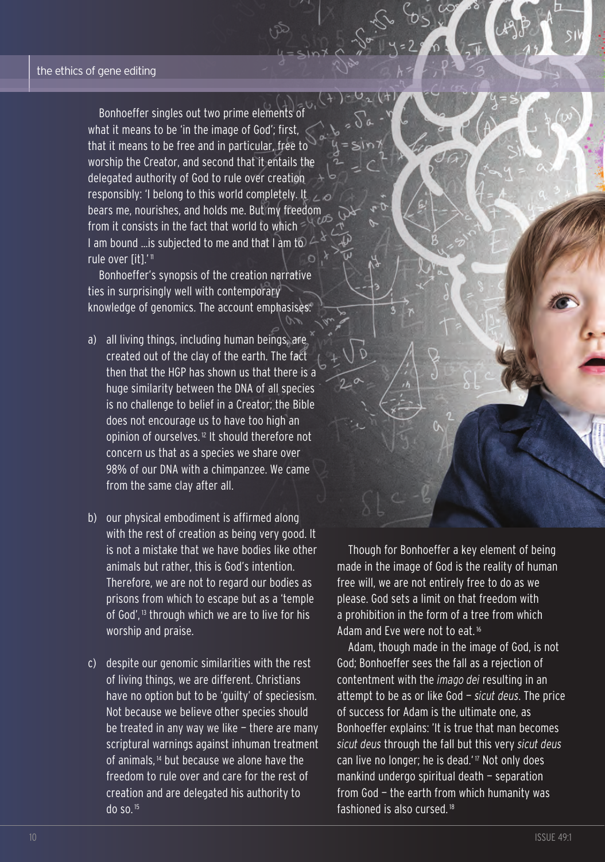bonhoeffer singles out two prime elements of what it means to be 'in the image of God'; first, that it means to be free and in particular, free to worship the creator, and second that it entails the delegated authority of god to rule over creation responsibly: 'I belong to this world completely. It bears me, nourishes, and holds me. but my freedom from it consists in the fact that world to which I am bound …is subjected to me and that I am to rule over [it].'<sup>11</sup>

bonhoeffer's synopsis of the creation narrative ties in surprisingly well with contemporary knowledge of genomics. The account emphasises:

- a) all living things, including human beings, are created out of the clay of the earth. The fact then that the HgP has shown us that there is a huge similarity between the DNA of all species is no challenge to belief in a creator; the bible does not encourage us to have too high an opinion of ourselves. <sup>12</sup> It should therefore not concern us that as a species we share over 98% of our DNA with a chimpanzee. We came from the same clay after all.
- b) our physical embodiment is affirmed along with the rest of creation as being very good. It is not a mistake that we have bodies like other animals but rather, this is god's intention. therefore, we are not to regard our bodies as prisons from which to escape but as a 'temple of God',<sup>13</sup> through which we are to live for his worship and praise.
- c) despite our genomic similarities with the rest of living things, we are different. christians have no option but to be 'guilty' of speciesism. not because we believe other species should be treated in any way we like — there are many scriptural warnings against inhuman treatment of animals, <sup>14</sup> but because we alone have the freedom to rule over and care for the rest of creation and are delegated his authority to do so. <sup>15</sup>

though for bonhoeffer a key element of being made in the image of God is the reality of human free will, we are not entirely free to do as we please. god sets a limit on that freedom with a prohibition in the form of a tree from which Adam and Eve were not to eat. <sup>16</sup>

Adam, though made in the image of God, is not god; bonhoeffer sees the fall as a rejection of contentment with the *imago dei* resulting in an attempt to be as or like God - *sicut deus*. The price of success for Adam is the ultimate one, as bonhoeffer explains: 'It is true that man becomes *sicut deus* through the fall but this very *sicut deus* can live no longer; he is dead.' <sup>17</sup> not only does mankind undergo spiritual death — separation from God - the earth from which humanity was fashioned is also cursed. <sup>18</sup>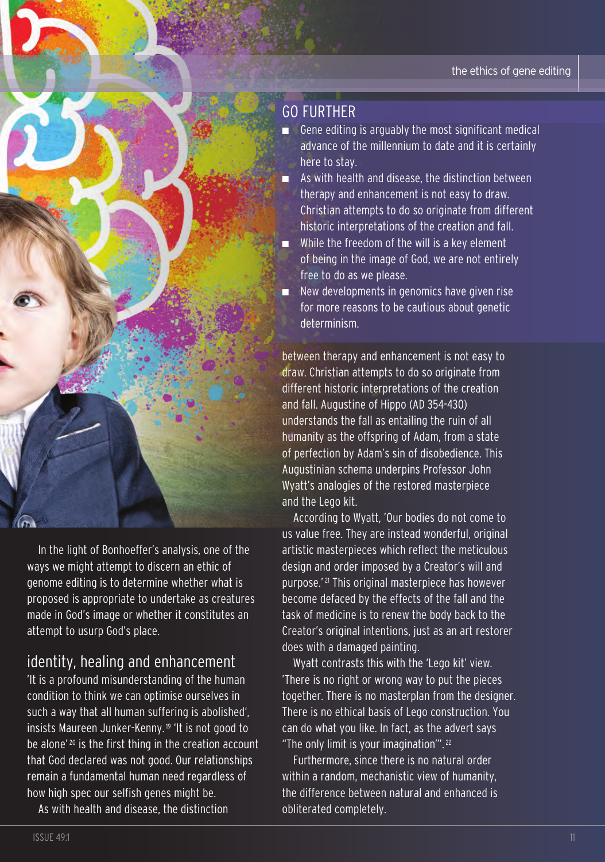## gO FUrtHEr

- $\blacksquare$  Gene editing is arguably the most significant medical advance of the millennium to date and it is certainly here to stay.
- As with health and disease, the distinction between therapy and enhancement is not easy to draw. christian attempts to do so originate from different historic interpretations of the creation and fall.
- While the freedom of the will is a key element of being in the image of God, we are not entirely free to do as we please.
- New developments in genomics have given rise for more reasons to be cautious about genetic determinism.

between therapy and enhancement is not easy to draw. christian attempts to do so originate from different historic interpretations of the creation and fall. Augustine of Hippo (AD 354-430) understands the fall as entailing the ruin of all humanity as the offspring of Adam, from a state of perfection by Adam's sin of disobedience. this Augustinian schema underpins Professor John Wyatt's analogies of the restored masterpiece and the lego kit.

According to Wyatt, 'Our bodies do not come to us value free. They are instead wonderful, original artistic masterpieces which reflect the meticulous design and order imposed by a creator's will and purpose.<sup>' 21</sup> This original masterpiece has however become defaced by the effects of the fall and the task of medicine is to renew the body back to the creator's original intentions, just as an art restorer does with a damaged painting.

Wyatt contrasts this with the 'lego kit' view. 'there is no right or wrong way to put the pieces together. There is no masterplan from the designer. there is no ethical basis of lego construction. You can do what you like. In fact, as the advert says "The only limit is your imagination"". $22$ 

Furthermore, since there is no natural order within a random, mechanistic view of humanity, the difference between natural and enhanced is obliterated completely.

In the light of bonhoeffer's analysis, one of the ways we might attempt to discern an ethic of genome editing is to determine whether what is proposed is appropriate to undertake as creatures made in god's image or whether it constitutes an attempt to usurp God's place.

## identity, healing and enhancement

'It is a profound misunderstanding of the human condition to think we can optimise ourselves in such a way that all human suffering is abolished', insists Maureen Junker-Kenny. <sup>19</sup> 'It is not good to be alone'<sup>20</sup> is the first thing in the creation account that god declared was not good. Our relationships remain a fundamental human need regardless of how high spec our selfish genes might be.

As with health and disease, the distinction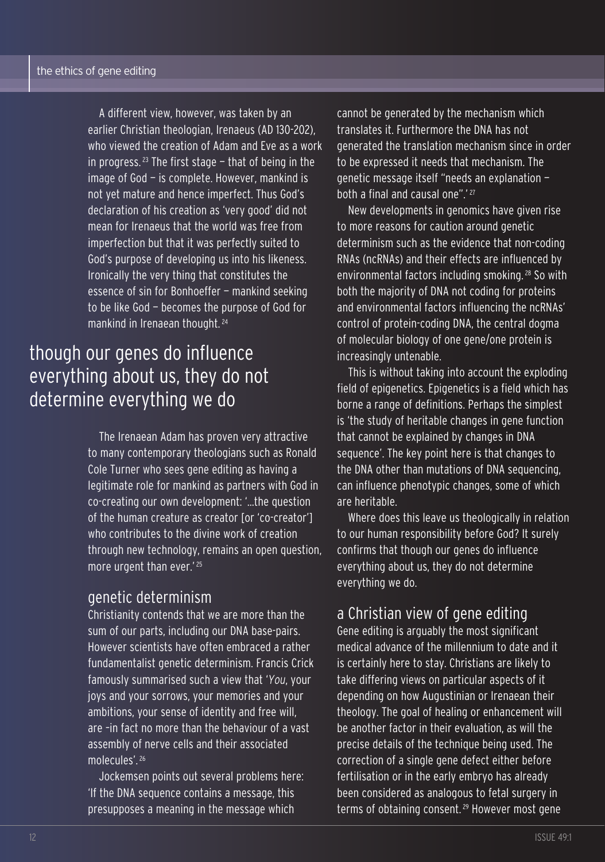A different view, however, was taken by an earlier Christian theologian, Irenaeus (AD 130-202), who viewed the creation of Adam and Eve as a work in progress.<sup>23</sup> The first stage  $-$  that of being in the image of god — is complete. However, mankind is not yet mature and hence imperfect. Thus God's declaration of his creation as 'very good' did not mean for Irenaeus that the world was free from imperfection but that it was perfectly suited to God's purpose of developing us into his likeness. Ironically the very thing that constitutes the essence of sin for Bonhoeffer - mankind seeking to be like God - becomes the purpose of God for mankind in Irenaean thought. <sup>24</sup>

# though our genes do influence everything about us, they do not determine everything we do

the Irenaean Adam has proven very attractive to many contemporary theologians such as Ronald cole turner who sees gene editing as having a legitimate role for mankind as partners with God in co-creating our own development: '...the question of the human creature as creator [or 'co-creator'] who contributes to the divine work of creation through new technology, remains an open question, more urgent than ever.' <sup>25</sup>

#### genetic determinism

christianity contends that we are more than the sum of our parts, including our DNA base-pairs. However scientists have often embraced a rather fundamentalist genetic determinism. Francis crick famously summarised such a view that '*You*, your joys and your sorrows, your memories and your ambitions, your sense of identity and free will, are –in fact no more than the behaviour of a vast assembly of nerve cells and their associated molecules'. <sup>26</sup>

Jockemsen points out several problems here: 'If the DNA sequence contains a message, this presupposes a meaning in the message which

cannot be generated by the mechanism which translates it. Furthermore the DNA has not generated the translation mechanism since in order to be expressed it needs that mechanism. The genetic message itself "needs an explanation both a final and causal one".<sup>'27</sup>

new developments in genomics have given rise to more reasons for caution around genetic determinism such as the evidence that non-coding RNAs (ncRNAs) and their effects are influenced by environmental factors including smoking. <sup>28</sup> So with both the majority of DNA not coding for proteins and environmental factors influencing the ncRNAs' control of protein-coding DNA, the central dogma of molecular biology of one gene/one protein is increasingly untenable.

This is without taking into account the exploding field of epigenetics. Epigenetics is a field which has borne a range of definitions. Perhaps the simplest is 'the study of heritable changes in gene function that cannot be explained by changes in DNA sequence'. The key point here is that changes to the DNA other than mutations of DNA sequencing, can influence phenotypic changes, some of which are heritable.

Where does this leave us theologically in relation to our human responsibility before god? It surely confirms that though our genes do influence everything about us, they do not determine everything we do.

#### a christian view of gene editing

gene editing is arguably the most significant medical advance of the millennium to date and it is certainly here to stay. christians are likely to take differing views on particular aspects of it depending on how Augustinian or Irenaean their theology. the goal of healing or enhancement will be another factor in their evaluation, as will the precise details of the technique being used. The correction of a single gene defect either before fertilisation or in the early embryo has already been considered as analogous to fetal surgery in terms of obtaining consent. <sup>29</sup> However most gene